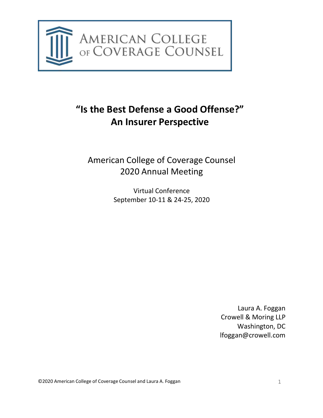

# **"Is the Best Defense a Good Offense?" An Insurer Perspective**

American College of Coverage Counsel 2020 Annual Meeting

> Virtual Conference September 10-11 & 24-25, 2020

> > Laura A. Foggan Crowell & Moring LLP Washington, DC [lfoggan@crowell.com](mailto:lfoggan@crowell.com)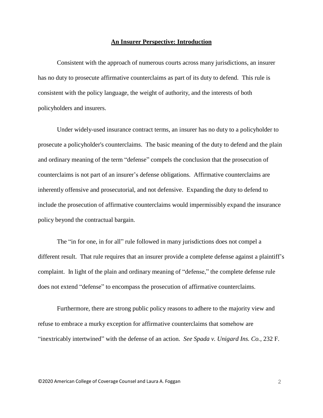#### **An Insurer Perspective: Introduction**

Consistent with the approach of numerous courts across many jurisdictions, an insurer has no duty to prosecute affirmative counterclaims as part of its duty to defend. This rule is consistent with the policy language, the weight of authority, and the interests of both policyholders and insurers.

Under widely-used insurance contract terms, an insurer has no duty to a policyholder to prosecute a policyholder's counterclaims. The basic meaning of the duty to defend and the plain and ordinary meaning of the term "defense" compels the conclusion that the prosecution of counterclaims is not part of an insurer's defense obligations. Affirmative counterclaims are inherently offensive and prosecutorial, and not defensive. Expanding the duty to defend to include the prosecution of affirmative counterclaims would impermissibly expand the insurance policy beyond the contractual bargain.

The "in for one, in for all" rule followed in many jurisdictions does not compel a different result. That rule requires that an insurer provide a complete defense against a plaintiff's complaint. In light of the plain and ordinary meaning of "defense," the complete defense rule does not extend "defense" to encompass the prosecution of affirmative counterclaims.

Furthermore, there are strong public policy reasons to adhere to the majority view and refuse to embrace a murky exception for affirmative counterclaims that somehow are "inextricably intertwined" with the defense of an action. *See Spada v. Unigard Ins. Co.*, 232 F.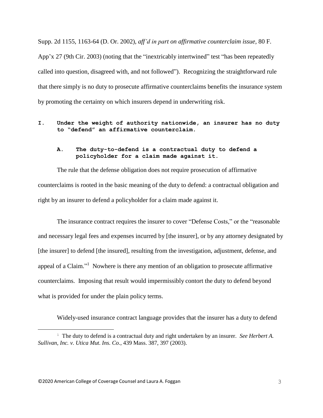Supp. 2d 1155, 1163-64 (D. Or. 2002), *aff'd in part on affirmative counterclaim issue,* 80 F.

App'x 27 (9th Cir. 2003) (noting that the "inextricably intertwined" test "has been repeatedly called into question, disagreed with, and not followed"). Recognizing the straightforward rule that there simply is no duty to prosecute affirmative counterclaims benefits the insurance system by promoting the certainty on which insurers depend in underwriting risk.

## **I. Under the weight of authority nationwide, an insurer has no duty to "defend" an affirmative counterclaim.**

# **A. The duty-to-defend is a contractual duty to defend a policyholder for a claim made against it.**

The rule that the defense obligation does not require prosecution of affirmative counterclaims is rooted in the basic meaning of the duty to defend: a contractual obligation and right by an insurer to defend a policyholder for a claim made against it.

The insurance contract requires the insurer to cover "Defense Costs," or the "reasonable and necessary legal fees and expenses incurred by [the insurer], or by any attorney designated by [the insurer] to defend [the insured], resulting from the investigation, adjustment, defense, and appeal of a Claim."<sup>1</sup> Nowhere is there any mention of an obligation to prosecute affirmative counterclaims. Imposing that result would impermissibly contort the duty to defend beyond what is provided for under the plain policy terms.

Widely-used insurance contract language provides that the insurer has a duty to defend

<sup>1</sup> The duty to defend is a contractual duty and right undertaken by an insurer. *See Herbert A. Sullivan, Inc. v. Utica Mut. Ins. Co.*, 439 Mass. 387, 397 (2003).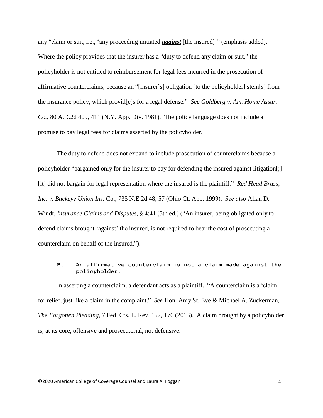any "claim or suit, i.e., 'any proceeding initiated *against* [the insured]'" (emphasis added). Where the policy provides that the insurer has a "duty to defend any claim or suit," the policyholder is not entitled to reimbursement for legal fees incurred in the prosecution of affirmative counterclaims, because an "[insurer's] obligation [to the policyholder] stem[s] from the insurance policy, which provid[e]s for a legal defense." *See Goldberg v. Am. Home Assur. Co.*, 80 A.D.2d 409, 411 (N.Y. App. Div. 1981). The policy language does not include a promise to pay legal fees for claims asserted by the policyholder.

The duty to defend does not expand to include prosecution of counterclaims because a policyholder "bargained only for the insurer to pay for defending the insured against litigation[;] [it] did not bargain for legal representation where the insured is the plaintiff." *Red Head Brass, Inc. v. Buckeye Union Ins.* Co., 735 N.E.2d 48, 57 (Ohio Ct. App. 1999). *See also* Allan D. Windt, *Insurance Claims and Disputes,* § 4:41 (5th ed.) ("An insurer, being obligated only to defend claims brought 'against' the insured, is not required to bear the cost of prosecuting a counterclaim on behalf of the insured.").

#### **B. An affirmative counterclaim is not a claim made against the policyholder.**

In asserting a counterclaim, a defendant acts as a plaintiff. "A counterclaim is a 'claim for relief, just like a claim in the complaint." *See* Hon. Amy St. Eve & Michael A. Zuckerman, *The Forgotten Pleading,* 7 Fed. Cts. L. Rev. 152, 176 (2013). A claim brought by a policyholder is, at its core, offensive and prosecutorial, not defensive.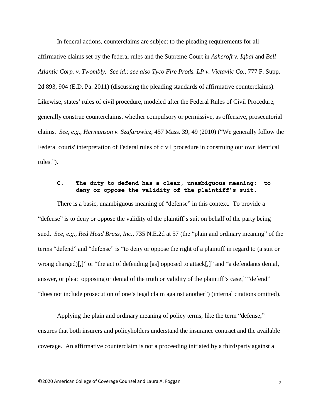In federal actions, counterclaims are subject to the pleading requirements for all affirmative claims set by the federal rules and the Supreme Court in *Ashcroft v. Iqbal* and *Bell Atlantic Corp. v. Twombly. See id.; see also Tyco Fire Prods. LP v. Victavlic Co.*, 777 F. Supp. 2d 893, 904 (E.D. Pa. 2011) (discussing the pleading standards of affirmative counterclaims). Likewise, states' rules of civil procedure, modeled after the Federal Rules of Civil Procedure, generally construe counterclaims, whether compulsory or permissive, as offensive, prosecutorial claims. *See, e.g., Hermanson v. Szafarowicz,* 457 Mass. 39, 49 (2010) ("We generally follow the Federal courts' interpretation of Federal rules of civil procedure in construing our own identical rules.").

# **C. The duty to defend has a clear, unambiguous meaning: to deny or oppose the validity of the plaintiff's suit.**

There is a basic, unambiguous meaning of "defense" in this context. To provide a "defense" is to deny or oppose the validity of the plaintiff's suit on behalf of the party being sued. *See, e.g., Red Head Brass, Inc.,* 735 N.E.2d at 57 (the "plain and ordinary meaning" of the terms "defend" and "defense" is "to deny or oppose the right of a plaintiff in regard to (a suit or wrong charged)[,]" or "the act of defending [as] opposed to attack[,]" and "a defendants denial, answer, or plea: opposing or denial of the truth or validity of the plaintiff's case;" "defend" "does not include prosecution of one's legal claim against another") (internal citations omitted).

Applying the plain and ordinary meaning of policy terms, like the term "defense," ensures that both insurers and policyholders understand the insurance contract and the available coverage. An affirmative counterclaim is not a proceeding initiated by a third•party against a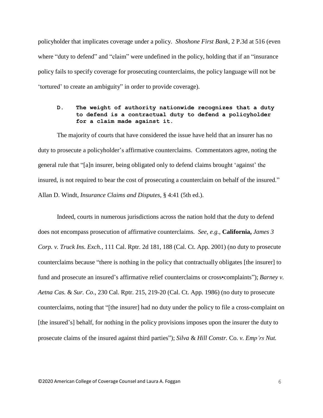policyholder that implicates coverage under a policy. *Shoshone First Bank,* 2 P.3d at 516 (even where "duty to defend" and "claim" were undefined in the policy, holding that if an "insurance policy fails to specify coverage for prosecuting counterclaims, the policy language will not be 'tortured' to create an ambiguity" in order to provide coverage).

#### **D. The weight of authority nationwide recognizes that a duty to defend is a contractual duty to defend a policyholder for a claim made against it.**

The majority of courts that have considered the issue have held that an insurer has no duty to prosecute a policyholder's affirmative counterclaims. Commentators agree, noting the general rule that "[a]n insurer, being obligated only to defend claims brought 'against' the insured, is not required to bear the cost of prosecuting a counterclaim on behalf of the insured." Allan D. Windt, *Insurance Claims and Disputes,* § 4:41 (5th ed.).

Indeed, courts in numerous jurisdictions across the nation hold that the duty to defend does not encompass prosecution of affirmative counterclaims. *See, e.g.,* **California,** *James 3 Corp. v. Truck Ins. Exch.,* 111 Cal. Rptr. 2d 181, 188 (Cal. Ct. App. 2001) (no duty to prosecute counterclaims because "there is nothing in the policy that contractually obligates [the insurer] to fund and prosecute an insured's affirmative relief counterclaims or cross•complaints"); *Barney v. Aetna Cas.* & *Sur. Co*., 230 Cal. Rptr. 215, 219-20 (Cal. Ct. App. 1986) (no duty to prosecute counterclaims, noting that "[the insurer] had no duty under the policy to file a cross-complaint on [the insured's] behalf, for nothing in the policy provisions imposes upon the insurer the duty to prosecute claims of the insured against third parties"); *Silva* & *Hill Constr.* Co. *v. Emp'rs Nut.*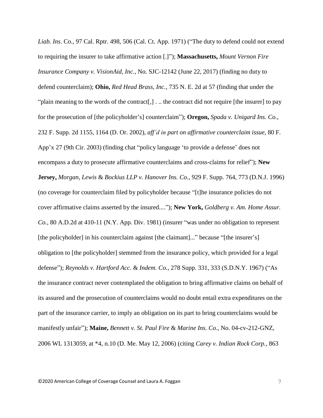*Liab. Ins*. Co., 97 Cal. Rptr. 498, 506 (Cal. Ct. App. 1971) ("The duty to defend could not extend to requiring the insurer to take affirmative action [.]"); **Massachusetts,** *Mount Vernon Fire Insurance Company v. VisionAid, Inc.*, No. SJC-12142 (June 22, 2017) (finding no duty to defend counterclaim); **Ohio,** *Red Head Brass, Inc.,* 735 N. E. 2d at 57 (finding that under the "plain meaning to the words of the contract[,] ... the contract did not require [the insurer] to pay for the prosecution of [the policyholder's] counterclaim"); **Oregon,** *Spada v. Unigard Ins. Co.,* 232 F. Supp. 2d 1155, 1164 (D. Or. 2002), *aff'd in part on affirmative counterclaim issue,* 80 F. App'x 27 (9th Cir. 2003) (finding chat "policy language 'to provide a defense' does not encompass a duty to prosecute affirmative counterclaims and cross-claims for relief"); **New Jersey,** *Morgan, Lewis* & *Bockius LLP v. Hanover Ins. Co.*, 929 F. Supp. 764, 773 (D.N.J. 1996) (no coverage for counterclaim filed by policyholder because "[t]he insurance policies do not cover affirmative claims asserted by the insured...."); **New York,** *Goldberg v. Am. Home Assur. Co.*, 80 A.D.2d at 410-11 (N.Y. App. Div. 1981) (insurer "was under no obligation to represent [the policyholder] in his counterclaim against [the claimant]..." because "[the insurer's] obligation to [the policyholder] stemmed from the insurance policy, which provided for a legal defense"); *Reynolds v. Hartford Acc.* & *Indem. Co.*, 278 Supp. 331, 333 (S.D.N.Y. 1967) ("As the insurance contract never contemplated the obligation to bring affirmative claims on behalf of its assured and the prosecution of counterclaims would no doubt entail extra expenditures on the part of the insurance carrier, to imply an obligation on its part to bring counterclaims would be manifestly unfair"); **Maine,** *Bennett v. St. Paul Fire* & *Marine Ins. Co.*, No. 04-cv-212-GNZ, 2006 WL 1313059, at \*4, n.10 (D. Me. May 12, 2006) (citing *Carey v. Indian Rock Corp.,* 863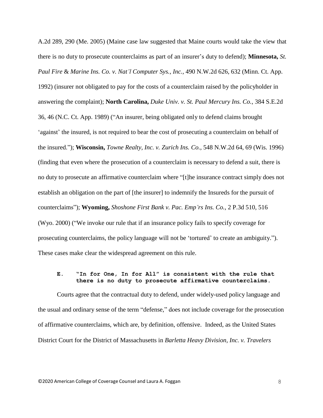A.2d 289, 290 (Me. 2005) (Maine case law suggested that Maine courts would take the view that there is no duty to prosecute counterclaims as part of an insurer's duty to defend); **Minnesota,** *St. Paul Fire* & *Marine Ins. Co. v. Nat'l Computer Sys., Inc.,* 490 N.W.2d 626, 632 (Minn. Ct. App. 1992) (insurer not obligated to pay for the costs of a counterclaim raised by the policyholder in answering the complaint); **North Carolina,** *Duke Univ. v. St. Paul Mercury Ins. Co.,* 384 S.E.2d 36, 46 (N.C. Ct. App. 1989) ("An insurer, being obligated only to defend claims brought 'against' the insured, is not required to bear the cost of prosecuting a counterclaim on behalf of the insured."); **Wisconsin,** *Towne Realty, Inc. v. Zurich Ins. Co.*, 548 N.W.2d 64, 69 (Wis. 1996) (finding that even where the prosecution of a counterclaim is necessary to defend a suit, there is no duty to prosecute an affirmative counterclaim where "[t]he insurance contract simply does not establish an obligation on the part of [the insurer] to indemnify the Insureds for the pursuit of counterclaims"); **Wyoming,** *Shoshone First Bank v. Pac. Emp'rs Ins. Co.*, 2 P.3d 510, 516 (Wyo. 2000) ("We invoke our rule that if an insurance policy fails to specify coverage for prosecuting counterclaims, the policy language will not be 'tortured' to create an ambiguity."). These cases make clear the widespread agreement on this rule.

### **E. "In for One, In for All" is consistent with the rule that there is no duty to prosecute affirmative counterclaims.**

Courts agree that the contractual duty to defend, under widely-used policy language and the usual and ordinary sense of the term "defense," does not include coverage for the prosecution of affirmative counterclaims, which are, by definition, offensive. Indeed, as the United States District Court for the District of Massachusetts in *Barletta Heavy Division, Inc. v. Travelers*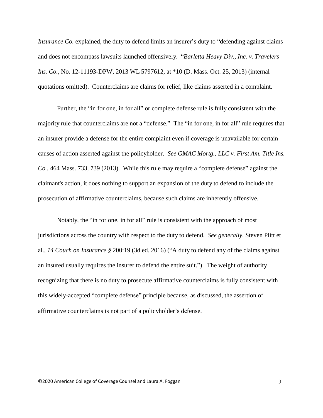*Insurance Co.* explained, the duty to defend limits an insurer's duty to "defending against claims" and does not encompass lawsuits launched offensively. "*Barletta Heavy Div., Inc. v. Travelers Ins. Co.,* No. 12-11193-DPW, 2013 WL 5797612, at \*10 (D. Mass. Oct. 25, 2013) (internal quotations omitted). Counterclaims are claims for relief, like claims asserted in a complaint.

Further, the "in for one, in for all" or complete defense rule is fully consistent with the majority rule that counterclaims are not a "defense." The "in for one, in for all" rule requires that an insurer provide a defense for the entire complaint even if coverage is unavailable for certain causes of action asserted against the policyholder. *See GMAC Mortg., LLC v. First Am. Title Ins. Co.*, 464 Mass. 733, 739 (2013). While this rule may require a "complete defense" against the claimant's action, it does nothing to support an expansion of the duty to defend to include the prosecution of affirmative counterclaims, because such claims are inherently offensive.

Notably, the "in for one, in for all" rule is consistent with the approach of most jurisdictions across the country with respect to the duty to defend. *See generally,* Steven Plitt et al., *14 Couch on Insurance §* 200:19 (3d ed. 2016) ("A duty to defend any of the claims against an insured usually requires the insurer to defend the entire suit."). The weight of authority recognizing that there is no duty to prosecute affirmative counterclaims is fully consistent with this widely-accepted "complete defense" principle because, as discussed, the assertion of affirmative counterclaims is not part of a policyholder's defense.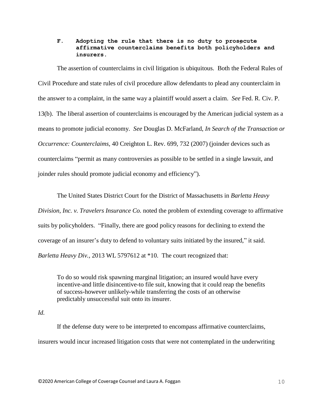#### **F. Adopting the rule that there is no duty to prosecute affirmative counterclaims benefits both policyholders and insurers.**

The assertion of counterclaims in civil litigation is ubiquitous. Both the Federal Rules of Civil Procedure and state rules of civil procedure allow defendants to plead any counterclaim in the answer to a complaint, in the same way a plaintiff would assert a claim. *See* Fed. R. Civ. P. 13(b). The liberal assertion of counterclaims is encouraged by the American judicial system as a means to promote judicial economy. *See* Douglas D. McFarland, *In Search of the Transaction or Occurrence: Counterclaims,* 40 Creighton L. Rev. 699, 732 (2007) (joinder devices such as counterclaims "permit as many controversies as possible to be settled in a single lawsuit, and joinder rules should promote judicial economy and efficiency").

The United States District Court for the District of Massachusetts in *Barletta Heavy Division, Inc. v. Travelers Insurance Co.* noted the problem of extending coverage to affirmative suits by policyholders. "Finally, there are good policy reasons for declining to extend the coverage of an insurer's duty to defend to voluntary suits initiated by the insured," it said. *Barletta Heavy Div.,* 2013 WL 5797612 at \*10. The court recognized that:

To do so would risk spawning marginal litigation; an insured would have every incentive-and little disincentive-to file suit, knowing that it could reap the benefits of success-however unlikely-while transferring the costs of an otherwise predictably unsuccessful suit onto its insurer.

#### *Id.*

If the defense duty were to be interpreted to encompass affirmative counterclaims, insurers would incur increased litigation costs that were not contemplated in the underwriting

©2020 American College of Coverage Counsel and Laura A. Foggan 10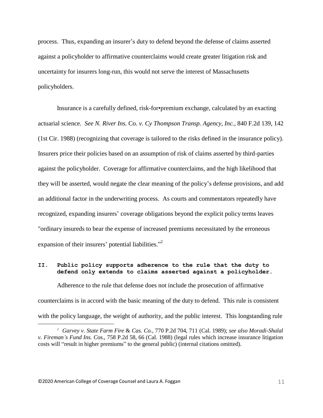process. Thus, expanding an insurer's duty to defend beyond the defense of claims asserted against a policyholder to affirmative counterclaims would create greater litigation risk and uncertainty for insurers long-run, this would not serve the interest of Massachusetts policyholders.

Insurance is a carefully defined, risk-for•premium exchange, calculated by an exacting actuarial science. *See N. River Ins.* Co. *v. Cy Thompson Transp. Agency, Inc.,* 840 F.2d 139, 142 (1st Cir. 1988) (recognizing that coverage is tailored to the risks defined in the insurance policy). Insurers price their policies based on an assumption of risk of claims asserted by third-parties against the policyholder. Coverage for affirmative counterclaims, and the high likelihood that they will be asserted, would negate the clear meaning of the policy's defense provisions, and add an additional factor in the underwriting process. As courts and commentators repeatedly have recognized, expanding insurers' coverage obligations beyond the explicit policy terms leaves "ordinary insureds to bear the expense of increased premiums necessitated by the erroneous expansion of their insurers' potential liabilities."<sup>2</sup>

#### **II. Public policy supports adherence to the rule that the duty to defend only extends to claims asserted against a policyholder.**

Adherence to the rule that defense does not include the prosecution of affirmative counterclaims is in accord with the basic meaning of the duty to defend. This rule is consistent with the policy language, the weight of authority, and the public interest. This longstanding rule

<sup>2</sup> *Garvey v. State Farm Fire* & *Cas. Co.*, 770 P.2d 704, 711 (Cal. 1989); *see also Moradi-Shalal v. Fireman's Fund Ins. Cos*., 758 P.2d 58, 66 (Cal. 1988) (legal rules which increase insurance litigation costs will "result in higher premiums" to the general public) (internal citations omitted).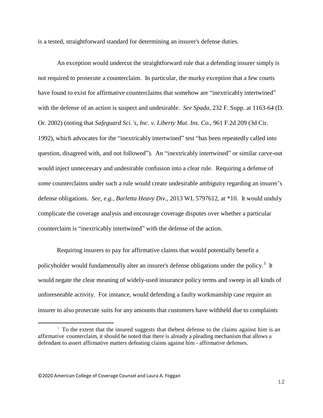is a tested, straightforward standard for determining an insurer's defense duties.

An exception would undercut the straightforward rule that a defending insurer simply is not required to prosecute a counterclaim. In particular, the murky exception that a few courts have found to exist for affirmative counterclaims that somehow are "inextricably intertwined" with the defense of an action is suspect and undesirable. *See Spada,* 232 F. Supp. at 1163-64 (D. Or. 2002) (noting that *Safeguard Sci.'s, Inc. v. Liberty Mut. Ins. Co.*, 961 F.2d 209 (3d Cir. 1992), which advocates for the "inextricably intertwined" test "has been repeatedly called into question, disagreed with, and not followed"). An "inextricably intertwined" or similar carve-out would inject unnecessary and undesirable confusion into a clear rule. Requiring a defense of *some* counterclaims under such a rule would create undesirable ambiguity regarding an insurer's defense obligations. *See, e.g., Barletta Heavy Div.,* 2013 WL 5797612, at \*10. It would unduly complicate the coverage analysis and encourage coverage disputes over whether a particular counterclaim is "inextricably intertwined" with the defense of the action.

Requiring insurers to pay for affirmative claims that would potentially benefit a policyholder would fundamentally alter an insurer's defense obligations under the policy.<sup>3</sup> It would negate the clear meaning of widely-used insurance policy terms and sweep in all kinds of unforeseeable activity. For instance, would defending a faulty workmanship case require an insurer to also prosecute suits for any amounts that customers have withheld due to complaints

<sup>&</sup>lt;sup>3</sup> To the extent that the insured suggests that the best defense to the claims against him is an affirmative counterclaim, it should be noted that there is already a pleading mechanism that allows a defendant to assert affirmative matters defeating claims against him - affirmative defenses.